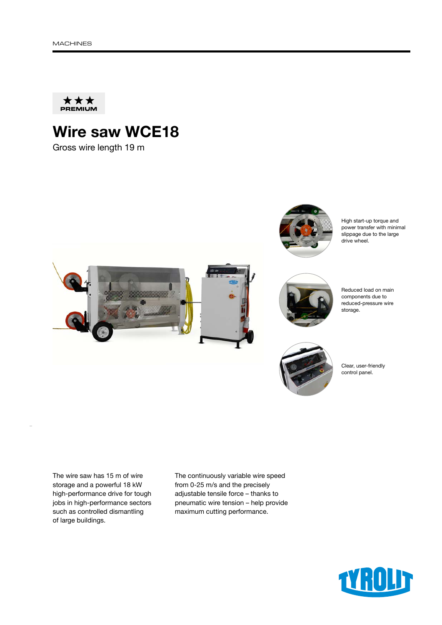

## Wire saw WCE18

Gross wire length 19 m



The wire saw has 15 m of wire storage and a powerful 18 kW high-performance drive for tough jobs in high-performance sectors such as controlled dismantling of large buildings.

The continuously variable wire speed from 0-25 m/s and the precisely adjustable tensile force – thanks to pneumatic wire tension – help provide maximum cutting performance.